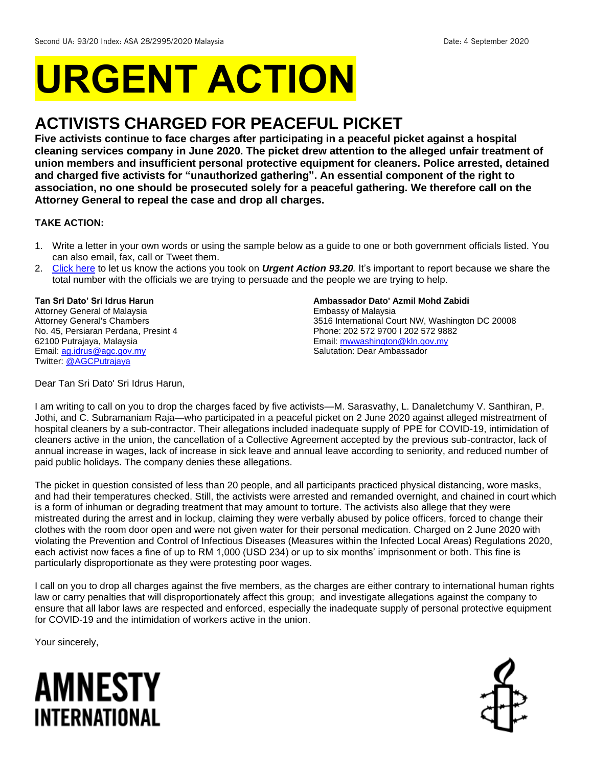# **URGENT ACTION**

# **ACTIVISTS CHARGED FOR PEACEFUL PICKET**

**Five activists continue to face charges after participating in a peaceful picket against a hospital cleaning services company in June 2020. The picket drew attention to the alleged unfair treatment of union members and insufficient personal protective equipment for cleaners. Police arrested, detained and charged five activists for "unauthorized gathering". An essential component of the right to association, no one should be prosecuted solely for a peaceful gathering. We therefore call on the Attorney General to repeal the case and drop all charges.**

### **TAKE ACTION:**

- 1. Write a letter in your own words or using the sample below as a guide to one or both government officials listed. You can also email, fax, call or Tweet them.
- 2. [Click here](https://www.amnestyusa.org/report-urgent-actions/) to let us know the actions you took on *Urgent Action 93.20.* It's important to report because we share the total number with the officials we are trying to persuade and the people we are trying to help.

## **Tan Sri Dato' Sri Idrus Harun**

Attorney General of Malaysia Attorney General's Chambers No. 45, Persiaran Perdana, Presint 4 62100 Putrajaya, Malaysia Email[: ag.idrus@agc.gov.my](mailto:ag.idrus@agc.gov.my) Twitter: [@AGCPutrajaya](https://twitter.com/agcputrajaya?lang=en)

#### **Ambassador Dato' Azmil Mohd Zabidi**

Embassy of Malaysia 3516 International Court NW, Washington DC 20008 Phone: 202 572 9700 I 202 572 9882 Email: [mwwashington@kln.gov.my](mailto:mwwashington@kln.gov.my) Salutation: Dear Ambassador

Dear Tan Sri Dato' Sri Idrus Harun,

I am writing to call on you to drop the charges faced by five activists—M. Sarasvathy, L. Danaletchumy V. Santhiran, P. Jothi, and C. Subramaniam Raja—who participated in a peaceful picket on 2 June 2020 against alleged mistreatment of hospital cleaners by a sub-contractor. Their allegations included inadequate supply of PPE for COVID-19, intimidation of cleaners active in the union, the cancellation of a Collective Agreement accepted by the previous sub-contractor, lack of annual increase in wages, lack of increase in sick leave and annual leave according to seniority, and reduced number of paid public holidays. The company denies these allegations.

The picket in question consisted of less than 20 people, and all participants practiced physical distancing, wore masks, and had their temperatures checked. Still, the activists were arrested and remanded overnight, and chained in court which is a form of inhuman or degrading treatment that may amount to torture. The activists also allege that they were mistreated during the arrest and in lockup, claiming they were verbally abused by police officers, forced to change their clothes with the room door open and were not given water for their personal medication. Charged on 2 June 2020 with violating the Prevention and Control of Infectious Diseases (Measures within the Infected Local Areas) Regulations 2020, each activist now faces a fine of up to RM 1,000 (USD 234) or up to six months' imprisonment or both. This fine is particularly disproportionate as they were protesting poor wages.

I call on you to drop all charges against the five members, as the charges are either contrary to international human rights law or carry penalties that will disproportionately affect this group; and investigate allegations against the company to ensure that all labor laws are respected and enforced, especially the inadequate supply of personal protective equipment for COVID-19 and the intimidation of workers active in the union.

Your sincerely,